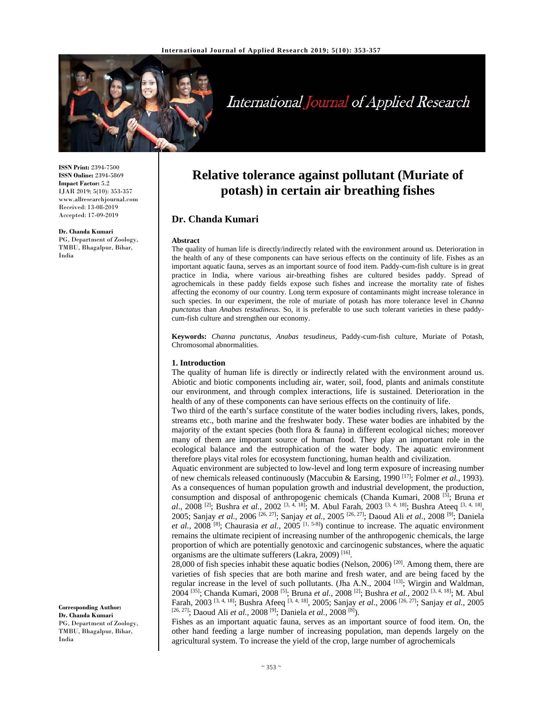

# International Journal of Applied Research

**ISSN Print:** 2394-7500 **ISSN Online:** 2394-5869 **Impact Factor:** 5.2 IJAR 2019; 5(10): 353-357 www.allresearchjournal.com Received: 13-08-2019 Accepted: 17-09-2019

**Dr. Chanda Kumari**  PG, Department of Zoology, TMBU, Bhagalpur, Bihar, India

**Relative tolerance against pollutant (Muriate of potash) in certain air breathing fishes**

# **Dr. Chanda Kumari**

#### **Abstract**

The quality of human life is directly/indirectly related with the environment around us. Deterioration in the health of any of these components can have serious effects on the continuity of life. Fishes as an important aquatic fauna, serves as an important source of food item. Paddy-cum-fish culture is in great practice in India, where various air-breathing fishes are cultured besides paddy. Spread of agrochemicals in these paddy fields expose such fishes and increase the mortality rate of fishes affecting the economy of our country. Long term exposure of contaminants might increase tolerance in such species. In our experiment, the role of muriate of potash has more tolerance level in *Channa punctatus* than *Anabas testudineus.* So, it is preferable to use such tolerant varieties in these paddycum-fish culture and strengthen our economy.

**Keywords:** *Channa punctatus*, *Anabas tesudineus,* Paddy-cum-fish culture, Muriate of Potash, Chromosomal abnormalities.

#### **1. Introduction**

The quality of human life is directly or indirectly related with the environment around us. Abiotic and biotic components including air, water, soil, food, plants and animals constitute our environment, and through complex interactions, life is sustained. Deterioration in the health of any of these components can have serious effects on the continuity of life.

Two third of the earth's surface constitute of the water bodies including rivers, lakes, ponds, streams etc., both marine and the freshwater body. These water bodies are inhabited by the majority of the extant species (both flora  $\&$  fauna) in different ecological niches; moreover many of them are important source of human food. They play an important role in the ecological balance and the eutrophication of the water body. The aquatic environment therefore plays vital roles for ecosystem functioning, human health and civilization.

Aquatic environment are subjected to low-level and long term exposure of increasing number of new chemicals released continuously (Maccubin & Earsing, 1990 [17]; Folmer *et al.*, 1993). As a consequences of human population growth and industrial development, the production, consumption and disposal of anthropogenic chemicals (Chanda Kumari, 2008 [5]; Bruna *et al*., 2008 [2]; Bushra *et al.*, 2002 [3, 4, 18]; M. Abul Farah, 2003 [3, 4, 18]; Bushra Ateeq [3, 4, 18], 2005; Sanjay *et al.*, 2006 [26, 27]; Sanjay *et al.*, 2005 [26, 27]; Daoud Ali *et al.*, 2008 [9]; Daniela *et al.*, 2008 [8]; Chaurasia *et al.*, 2005 [1, 5-8]) continue to increase. The aquatic environment remains the ultimate recipient of increasing number of the anthropogenic chemicals, the large proportion of which are potentially genotoxic and carcinogenic substances, where the aquatic organisms are the ultimate sufferers (Lakra, 2009)<sup>[16]</sup>.

28,000 of fish species inhabit these aquatic bodies (Nelson, 2006)  $[20]$ . Among them, there are varieties of fish species that are both marine and fresh water, and are being faced by the regular increase in the level of such pollutants. (Jha A.N., 2004 [13]; Wirgin and Waldman, 2004 [35]; Chanda Kumari, 2008 [5]; Bruna *et al.*, 2008 [2]; Bushra *et al.*, 2002 [3, 4, 18]; M. Abul Farah, 2003 [3, 4, 18]; Bushra Afeeq [3, 4, 18], 2005; Sanjay *et al.*, 2006 [26, 27]; Sanjay *et al.*, 2005 [26, 27]; Daoud Ali *et al.*, 2008 [9]; Daniela *et al.*, 2008 [8]).

Fishes as an important aquatic fauna, serves as an important source of food item. On, the other hand feeding a large number of increasing population, man depends largely on the agricultural system. To increase the yield of the crop, large number of agrochemicals

**Corresponding Author: Dr. Chanda Kumari**  PG, Department of Zoology, TMBU, Bhagalpur, Bihar, India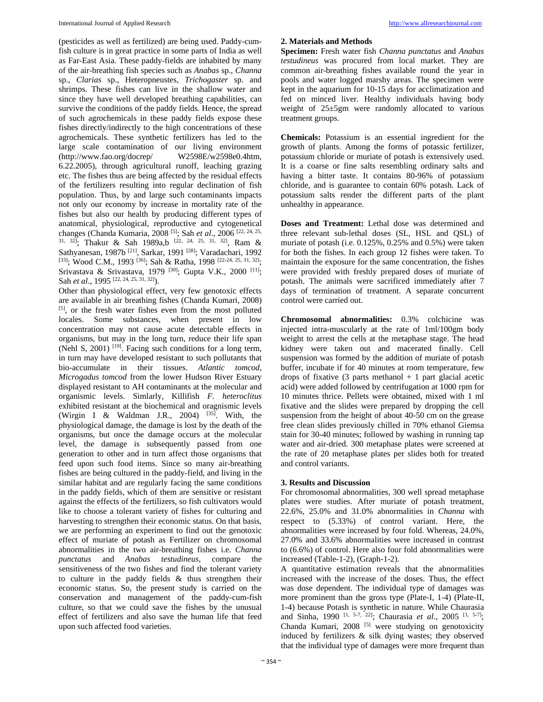(pesticides as well as fertilized) are being used. Paddy-cumfish culture is in great practice in some parts of India as well as Far-East Asia. These paddy-fields are inhabited by many of the air-breathing fish species such as *Anabas* sp., *Channa*  sp., *Clarias* sp., Heteropneustes, *Trichogaster* sp. and shrimps. These fishes can live in the shallow water and since they have well developed breathing capabilities, can survive the conditions of the paddy fields. Hence, the spread of such agrochemicals in these paddy fields expose these fishes directly/indirectly to the high concentrations of these agrochemicals. These synthetic fertilizers has led to the large scale contamination of our living environment (http://www.fao.org/docrep/ W2598E/w2598e0.4htm, 6.22.2005), through agricultural runoff, leaching grazing etc. The fishes thus are being affected by the residual effects of the fertilizers resulting into regular declination of fish population. Thus, by and large such contaminants impacts not only our economy by increase in mortality rate of the fishes but also our health by producing different types of anatomical, physiological, reproductive and cytogenetical changes (Chanda Kumaria, 2008 [5]; Sah *et al.*, 2006 [22, 24, 25, 31, 32]; Thakur & Sah 1989a,b [22, 24, 25, 31, 32], Ram & Sathyanesan, 1987b [21], Sarkar, 1991 [28]; Varadachari, 1992 [33]; Wood C.M., 1993<sup>[36]</sup>; Sah & Ratha, 1998<sup>[22-24, 25, 31, 32]</sup>; Srivastava & Srivastava, 1979<sup>[30]</sup>; Gupta V.K., 2000<sup>[11]</sup>; Sah *et al.*, 1995<sup>[22, 24, 25, 31, 32]).</sup>

Other than physiological effect, very few genotoxic effects are available in air breathing fishes (Chanda Kumari, 2008) [5], or the fresh water fishes even from the most polluted locales. Some substances, when present in low concentration may not cause acute detectable effects in organisms, but may in the long turn, reduce their life span (Nehl S, 2001)  $[19]$ . Facing such conditions for a long term, in turn may have developed resistant to such pollutants that bio-accumulate in their tissues. *Atlantic tomcod, Microgadus tomcod* from the lower Hudson River Estuary displayed resistant to AH contaminants at the molecular and organismic levels. Simlarly, Killifish *F. heteroclitus* exhibited resistant at the biochemical and oragnismic levels (Wirgin I & Waldman J.R., 2004)  $[35]$ . With, the physiological damage, the damage is lost by the death of the organisms, but once the damage occurs at the molecular level, the damage is subsequently passed from one generation to other and in turn affect those organisms that feed upon such food items. Since so many air-breathing fishes are being cultured in the paddy-field, and living in the similar habitat and are regularly facing the same conditions in the paddy fields, which of them are sensitive or resistant against the effects of the fertilizers, so fish cultivators would like to choose a tolerant variety of fishes for culturing and harvesting to strengthen their economic status. On that basis, we are performing an experiment to find out the genotoxic effect of muriate of potash as Fertilizer on chromosomal abnormalities in the two air-breathing fishes i.e. *Channa punctatus* and *Anabas testudineus,* compare the sensitiveness of the two fishes and find the tolerant variety to culture in the paddy fields & thus strengthen their economic status. So, the present study is carried on the conservation and management of the paddy-cum-fish culture, so that we could save the fishes by the unusual effect of fertilizers and also save the human life that feed upon such affected food varieties.

## **2. Materials and Methods**

**Specimen:** Fresh water fish *Channa punctatus* and *Anabas testudineus* was procured from local market. They are common air-breathing fishes available round the year in pools and water logged marshy areas. The specimen were kept in the aquarium for 10-15 days for acclimatization and fed on minced liver. Healthy individuals having body weight of 25±5gm were randomly allocated to various treatment groups.

**Chemicals:** Potassium is an essential ingredient for the growth of plants. Among the forms of potassic fertilizer, potassium chloride or muriate of potash is extensively used. It is a coarse or fine salts resembling ordinary salts and having a bitter taste. It contains 80-96% of potassium chloride, and is guarantee to contain 60% potash. Lack of potassium salts render the different parts of the plant unhealthy in appearance.

**Doses and Treatment:** Lethal dose was determined and three relevant sub-lethal doses (SL, HSL and QSL) of muriate of potash (i.e. 0.125%, 0.25% and 0.5%) were taken for both the fishes. In each group 12 fishes were taken. To maintain the exposure for the same concentration, the fishes were provided with freshly prepared doses of muriate of potash. The animals were sacrificed immediately after 7 days of termination of treatment. A separate concurrent control were carried out.

**Chromosomal abnormalities:** 0.3% colchicine was injected intra-muscularly at the rate of 1ml/100gm body weight to arrest the cells at the metaphase stage. The head kidney were taken out and macerated finally. Cell suspension was formed by the addition of muriate of potash buffer, incubate if for 40 minutes at room temperature, few drops of fixative  $(3 \text{ parts methanol} + 1 \text{ part glacial acetic})$ acid) were added followed by centrifugation at 1000 rpm for 10 minutes thrice. Pellets were obtained, mixed with 1 ml fixative and the slides were prepared by dropping the cell suspension from the height of about 40-50 cm on the grease free clean slides previously chilled in 70% ethanol Giemsa stain for 30-40 minutes; followed by washing in running tap water and air-dried. 300 metaphase plates were screened at the rate of 20 metaphase plates per slides both for treated and control variants.

### **3. Results and Discussion**

For chromosomal abnormalities, 300 well spread metaphase plates were studies. After muriate of potash treatment, 22.6%, 25.0% and 31.0% abnormalities in *Channa* with respect to (5.33%) of control variant. Here, the abnormalities were increased by four fold. Whereas, 24.0%, 27.0% and 33.6% abnormalities were increased in contrast to (6.6%) of control. Here also four fold abnormalities were increased (Table-1-2), (Graph-1-2).

A quantitative estimation reveals that the abnormalities increased with the increase of the doses. Thus, the effect was dose dependent. The individual type of damages was more prominent than the gross type (Plate-I, 1-4) (Plate-II, 1-4) because Potash is synthetic in nature. While Chaurasia and Sinha, 1990 <sup>[1, 5-7, 22]</sup>; Chaurasia *et al.*, 2005 <sup>[1, 5-7]</sup>; Chanda Kumari,  $2008$ <sup>[5]</sup> were studying on genotoxicity induced by fertilizers & silk dying wastes; they observed that the individual type of damages were more frequent than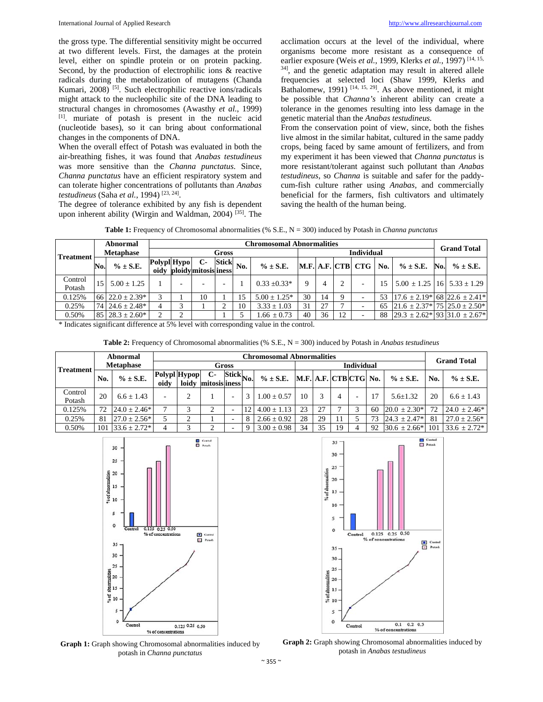the gross type. The differential sensitivity might be occurred at two different levels. First, the damages at the protein level, either on spindle protein or on protein packing. Second, by the production of electrophilic ions & reactive radicals during the metabolization of mutagens (Chanda Kumari, 2008) [5]. Such electrophilic reactive ions/radicals might attack to the nucleophilic site of the DNA leading to structural changes in chromosomes (Awasthy *et al.*, 1999) [1]. muriate of potash is present in the nucleic acid (nucleotide bases), so it can bring about conformational changes in the components of DNA.

When the overall effect of Potash was evaluated in both the air-breathing fishes, it was found that *Anabas testudineus*  was more sensitive than the *Channa punctatus*. Since, *Channa punctatus* have an efficient respiratory system and can tolerate higher concentrations of pollutants than *Anabas testudineus* (Saha *et al.*, 1994) [23, 24].

The degree of tolerance exhibited by any fish is dependent upon inherent ability (Wirgin and Waldman, 2004) [35]. The acclimation occurs at the level of the individual, where organisms become more resistant as a consequence of earlier exposure (Weis *et al.*, 1999, Klerks *et al.*, 1997) [14, 15, 34], and the genetic adaptation may result in altered allele frequencies at selected loci (Shaw 1999, Klerks and Bathalomew,  $1991$ )  $[14, 15, 29]$ . As above mentioned, it might be possible that *Channa's* inherent ability can create a tolerance in the genomes resulting into less damage in the genetic material than the *Anabas testudineus.*

From the conservation point of view, since, both the fishes live almost in the similar habitat, cultured in the same paddy crops, being faced by same amount of fertilizers, and from my experiment it has been viewed that *Channa punctatus* is more resistant/tolerant against such pollutant than *Anabas testudineus*, so *Channa* is suitable and safer for the paddycum-fish culture rather using *Anabas,* and commercially beneficial for the farmers, fish cultivators and ultimately saving the health of the human being.

**Table 1:** Frequency of Chromosomal abnormalities (% S.E., N = 300) induced by Potash in *Channa punctatus*

|                                      | Abnormal             |                                | <b>Chromosomal Abnormalities</b> |  |                                 |                                                |    |                   |    |    |    |                   |     |                                                                             |     | <b>Grand Total</b>                     |  |
|--------------------------------------|----------------------|--------------------------------|----------------------------------|--|---------------------------------|------------------------------------------------|----|-------------------|----|----|----|-------------------|-----|-----------------------------------------------------------------------------|-----|----------------------------------------|--|
| <b>Treatment</b>                     | <b>Metaphase</b>     |                                | Gross                            |  |                                 |                                                |    |                   |    |    |    |                   |     |                                                                             |     |                                        |  |
|                                      | No.                  | $\% \pm S.E.$                  | Polypl Hypo                      |  | С-<br>oidy ploidy mitosis iness | $\left \frac{\text{Stick}}{\text{No.}}\right $ |    | $\% \pm S.E.$     |    |    |    | M.F. A.F. CTB CTG | No. | $\% \pm S.E.$                                                               | No. | $\% \pm S.E.$                          |  |
| Control<br>Potash                    |                      | $15 \quad 5.00 \pm 1.25$       |                                  |  |                                 |                                                |    | $0.33 + 0.33*$    | 9  | 4  |    |                   |     |                                                                             |     | $5.00 \pm 1.25$   16   $5.33 \pm 1.29$ |  |
| 0.125%                               |                      | 66 $22.0 \pm 2.39$ *           | 3                                |  | 10                              |                                                | 15 | $5.00 \pm 1.25^*$ | 30 | 14 |    |                   | 53  |                                                                             |     | $17.6 \pm 2.19$ * 68 22.6 $\pm 2.41$ * |  |
| 0.25%                                |                      | $74$ 24.6 $\pm$ 2.48*          |                                  |  |                                 |                                                | 10 | $3.33 \pm 1.03$   | 31 | 27 |    |                   | 65  | $\left[21.6 \pm 2.37 \cdot 75 \right]$ $\left[25.0 \pm 2.50 \cdot 7\right]$ |     |                                        |  |
| 0.50%<br>$\sim$ $\sim$ $\sim$ $\sim$ | $\sim$ $\sim$ $\sim$ | $85 \mid 28.3 \pm 2.60^*$<br>. | $\sim$                           |  |                                 |                                                |    | $.66 \pm 0.73$    | 40 | 36 | 12 |                   | 88  | $ 29.3 \pm 2.62^* 93 31.0 \pm 2.67^* $                                      |     |                                        |  |

\* Indicates significant difference at 5% level with corresponding value in the control.

**Table 2:** Frequency of Chromosomal abnormalities (% S.E., N = 300) induced by Potash in *Anabas testudineus* 

| Treatment         | Abnormal |                  | <b>Chromosomal Abnormalities</b> |                       |                     |                                        |    |                                     |    |    |            |   |    |                  | <b>Grand Total</b> |                   |
|-------------------|----------|------------------|----------------------------------|-----------------------|---------------------|----------------------------------------|----|-------------------------------------|----|----|------------|---|----|------------------|--------------------|-------------------|
|                   |          | <b>Metaphase</b> | Gross                            |                       |                     |                                        |    |                                     |    |    | Individual |   |    |                  |                    |                   |
|                   | No.      | $\% \pm S.E.$    | oidv                             | Polypl Hypop<br>loidy | С-<br>mitosisliness | $\overline{\text{Stick}}_{\text{No.}}$ |    | $\% \pm S.E.$ M.F. A.F. CTB CTG No. |    |    |            |   |    | $\% \pm S.E.$    | No.                | $\% \pm S.E.$     |
| Control<br>Potash | 20       | $6.6 + 1.43$     | -                                |                       |                     |                                        | 3  | $1.00 \pm 0.57$                     | 10 | 3  |            | - |    | $5.6 \pm 1.32$   | 20                 | $6.6 \pm 1.43$    |
| 0.125%            | 72       | $24.0 + 2.46*$   |                                  |                       | ◠                   |                                        | 12 | $4.00 \pm 1.13$                     | 23 | 27 |            | 3 | 60 | $20.0 \pm 2.30*$ | 72                 | $24.0 \pm 2.46^*$ |
| 0.25%             | 81       | $27.0 \pm 2.56*$ |                                  | ◠                     |                     |                                        | 8  | $2.66 \pm 0.92$                     | 28 | 29 |            |   | 73 | $24.3 \pm 2.47*$ | -81                | $27.0 \pm 2.56^*$ |
| 0.50%             | 101      | $33.6 \pm 2.72*$ |                                  |                       |                     |                                        | -9 | $3.00 \pm 0.98$                     | 34 | 35 | 19         | 4 | 92 | $30.6 \pm 2.66*$ | 101                | $33.6 \pm 2.72$ * |







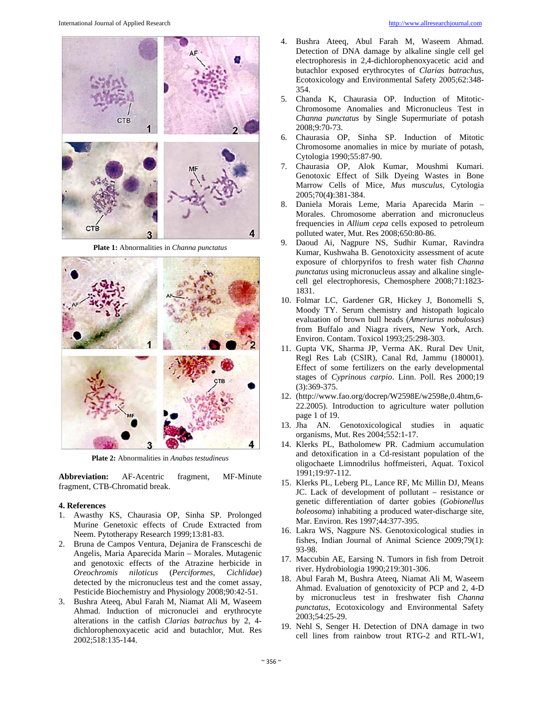

**Plate 1:** Abnormalities in *Channa punctatus*



**Plate 2:** Abnormalities in *Anabas testudineus*

**Abbreviation:** AF-Acentric fragment, MF-Minute fragment, CTB-Chromatid break.

#### **4. References**

- 1. Awasthy KS, Chaurasia OP, Sinha SP. Prolonged Murine Genetoxic effects of Crude Extracted from Neem. Pytotherapy Research 1999;13:81-83.
- 2. Bruna de Campos Ventura, Dejanira de Fransceschi de Angelis, Maria Aparecida Marin – Morales. Mutagenic and genotoxic effects of the Atrazine herbicide in *Oreochromis niloticus* (*Perciformes*, *Cichlidae*) detected by the micronucleus test and the comet assay, Pesticide Biochemistry and Physiology 2008;90:42-51.
- 3. Bushra Ateeq, Abul Farah M, Niamat Ali M, Waseem Ahmad. Induction of micronuclei and erythrocyte alterations in the catfish *Clarias batrachus* by 2, 4 dichlorophenoxyacetic acid and butachlor, Mut. Res 2002;518:135-144.
- 4. Bushra Ateeq, Abul Farah M, Waseem Ahmad. Detection of DNA damage by alkaline single cell gel electrophoresis in 2,4-dichlorophenoxyacetic acid and butachlor exposed erythrocytes of *Clarias batrachus*, Ecotoxicology and Environmental Safety 2005;62:348- 354.
- 5. Chanda K, Chaurasia OP. Induction of Mitotic-Chromosome Anomalies and Micronucleus Test in *Channa punctatus* by Single Supermuriate of potash 2008;9:70-73.
- 6. Chaurasia OP, Sinha SP. Induction of Mitotic Chromosome anomalies in mice by muriate of potash, Cytologia 1990;55:87-90.
- 7. Chaurasia OP, Alok Kumar, Moushmi Kumari. Genotoxic Effect of Silk Dyeing Wastes in Bone Marrow Cells of Mice, *Mus musculus,* Cytologia 2005;70(4**)**:381-384.
- 8. Daniela Morais Leme, Maria Aparecida Marin Morales. Chromosome aberration and micronucleus frequencies in *Allium cepa* cells exposed to petroleum polluted water, Mut. Res 2008;650:80-86.
- 9. Daoud Ai, Nagpure NS, Sudhir Kumar, Ravindra Kumar, Kushwaha B. Genotoxicity assessment of acute exposure of chlorpyrifos to fresh water fish *Channa punctatus* using micronucleus assay and alkaline singlecell gel electrophoresis, Chemosphere 2008;71:1823- 1831.
- 10. Folmar LC, Gardener GR, Hickey J, Bonomelli S, Moody TY. Serum chemistry and histopath logicalo evaluation of brown bull heads (*Ameriurus nobulosus*) from Buffalo and Niagra rivers, New York, Arch. Environ. Contam. Toxicol 1993;25:298-303.
- 11. Gupta VK, Sharma JP, Verma AK. Rural Dev Unit, Regl Res Lab (CSIR), Canal Rd, Jammu (180001). Effect of some fertilizers on the early developmental stages of *Cyprinous carpio*. Linn. Poll. Res 2000;19 (3):369-375.
- 12. (http://www.fao.org/docrep/W2598E/w2598e,0.4htm,6- 22.2005). Introduction to agriculture water pollution page 1 of 19.
- 13. Jha AN. Genotoxicological studies in aquatic organisms, Mut. Res 2004;552:1-17.
- 14. Klerks PL, Batholomew PR. Cadmium accumulation and detoxification in a Cd-resistant population of the oligochaete Limnodrilus hoffmeisteri, Aquat. Toxicol 1991;19:97-112.
- 15. Klerks PL, Leberg PL, Lance RF, Mc Millin DJ, Means JC. Lack of development of pollutant – resistance or genetic differentiation of darter gobies (*Gobionellus boleosoma*) inhabiting a produced water-discharge site, Mar. Environ. Res 1997;44:377-395.
- 16. Lakra WS, Nagpure NS. Genotoxicological studies in fishes, Indian Journal of Animal Science 2009;79(1): 93-98.
- 17. Maccubin AE, Earsing N. Tumors in fish from Detroit river. Hydrobiologia 1990;219:301-306.
- 18. Abul Farah M, Bushra Ateeq, Niamat Ali M, Waseem Ahmad. Evaluation of genotoxicity of PCP and 2, 4-D by micronucleus test in freshwater fish *Channa punctatus*, Ecotoxicology and Environmental Safety 2003;54:25-29.
- 19. Nehl S, Senger H. Detection of DNA damage in two cell lines from rainbow trout RTG-2 and RTL-W1,